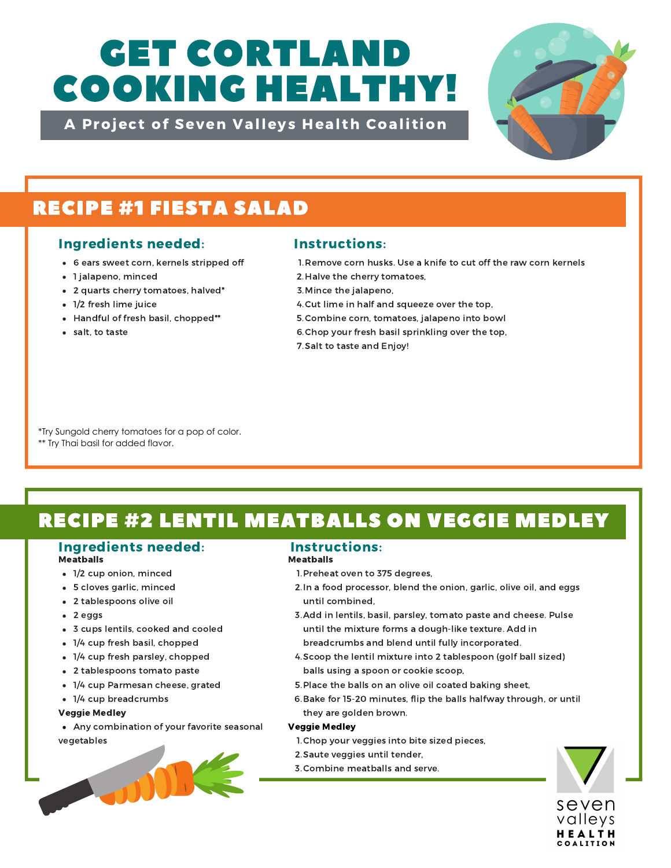# GET CORTLAND COOKING HEALTHY!

A Project of Seven Valleys Health Coalition



## RECIPE #1 FIESTA SALAD

## Ingredients needed: Instructions:

- 6 ears sweet corn, kernels stripped off
- 1 jalapeno, minced
- 2 quarts cherry tomatoes, halved\*
- 1/2 fresh lime juice
- Handful of fresh basil, chopped\*\*
- salt, to taste

- 1. Remove corn husks. Use a knife to cut off the raw corn kernels
- 2. Halve the cherry tomatoes,
- 3. Mince the jalapeno,
- 4. Cut lime in half and squeeze over the top,
- 5. Combine corn, tomatoes, jalapeno into bowl
- 6. Chop your fresh basil sprinkling over the top,
- 7. Salt to taste and Enjoy!

\*Try Sungold cherry tomatoes for a pop of color. \*\* Try Thai basil for added flavor.

# RECIPE #2 LENTIL MEATBALLS ON VEGGIE MEDLEY

#### Ingredients needed: Instructions: Meatballs

- 1/2 cup onion, minced
- 5 cloves garlic, minced
- 2 tablespoons olive oil
- 2 eggs
- 3 cups lentils, cooked and cooled
- 1/4 cup fresh basil, chopped
- 1/4 cup fresh parsley, chopped
- 2 tablespoons tomato paste
- 1/4 cup Parmesan cheese, grated
- 1/4 cup breadcrumbs

#### Veggie Medley

Any combination of your favorite seasonal vegetables



#### Meatballs

- 1. Preheat oven to 375 degrees,
- 2. In a food processor, blend the onion, garlic, olive oil, and eggs until combined,
- 3. Add in lentils, basil, parsley, tomato paste and cheese. Pulse until the mixture forms a dough-like texture. Add in breadcrumbs and blend until fully incorporated.
- 4. Scoop the lentil mixture into 2 tablespoon (golf ball sized) balls using a spoon or cookie scoop,
- 5. Place the balls on an olive oil coated baking sheet,
- 6. Bake for 15-20 minutes, flip the balls halfway through, or until they are golden brown.

#### Veggie Medley

- 1. Chop your veggies into bite sized pieces,
- 2. Saute veggies until tender,
- 3. Combine meatballs and serve.